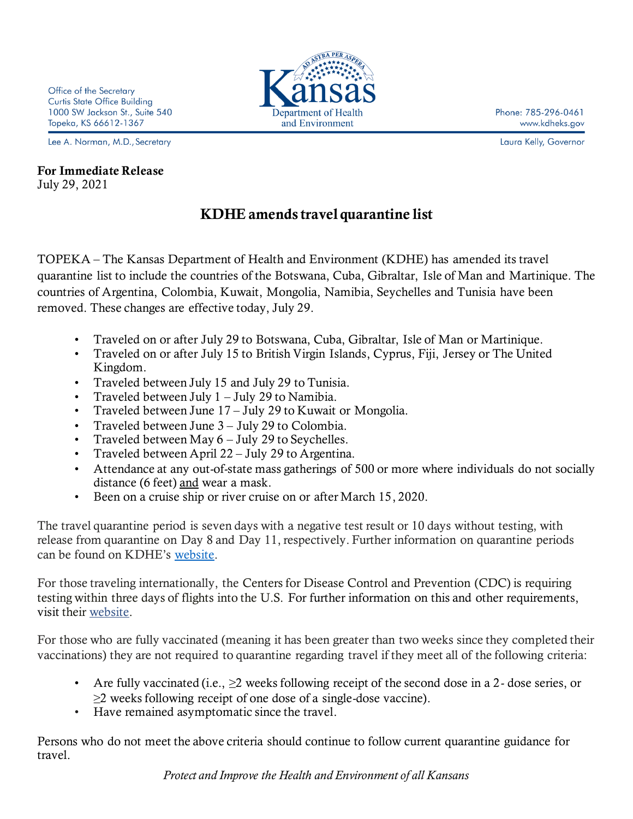Lee A. Norman, M.D., Secretary

## For Immediate Release July 29, 2021

## KDHE amends travel quarantine list

TOPEKA – The Kansas Department of Health and Environment (KDHE) has amended its travel quarantine list to include the countries of the Botswana, Cuba, Gibraltar, Isle of Man and Martinique. The countries of Argentina, Colombia, Kuwait, Mongolia, Namibia, Seychelles and Tunisia have been removed. These changes are effective today, July 29.

- Traveled on or after July 29 to Botswana, Cuba, Gibraltar, Isle of Man or Martinique.
- Traveled on or after July 15 to British Virgin Islands, Cyprus, Fiji, Jersey or The United Kingdom.
- Traveled between July 15 and July 29 to Tunisia.
- Traveled between July 1 July 29 to Namibia.
- Traveled between June 17 July 29 to Kuwait or Mongolia.
- Traveled between June 3 July 29 to Colombia.
- Traveled between May  $6 -$  July 29 to Seychelles.
- Traveled between April 22 July 29 to Argentina.
- Attendance at any out-of-state mass gatherings of 500 or more where individuals do not socially distance (6 feet) and wear a mask.
- Been on a cruise ship or river cruise on or after March 15, 2020.

The travel quarantine period is seven days with a negative test result or 10 days without testing, with release from quarantine on Day 8 and Day 11, respectively. Further information on quarantine periods can be found on KDHE's [website.](https://www.coronavirus.kdheks.gov/DocumentCenter/View/1640/Shortened-Quarantine-Guidance-PDF--12-8-20?bidId=)

For those traveling internationally, the Centers for Disease Control and Prevention (CDC) is requiring testing within three days of flights into the U.S. For further information on this and other requirements, visit their [website.](https://www.cdc.gov/coronavirus/2019-ncov/travelers/index.html)

For those who are fully vaccinated (meaning it has been greater than two weeks since they completed their vaccinations) they are not required to quarantine regarding travel if they meet all of the following criteria:

- Are fully vaccinated (i.e.,  $\geq 2$  weeks following receipt of the second dose in a 2-dose series, or ≥2 weeks following receipt of one dose of a single-dose vaccine).
- Have remained asymptomatic since the travel.

Persons who do not meet the above criteria should continue to follow current quarantine guidance for travel.



Phone: 785-296-0461 www.kdheks.gov

Laura Kelly, Governor